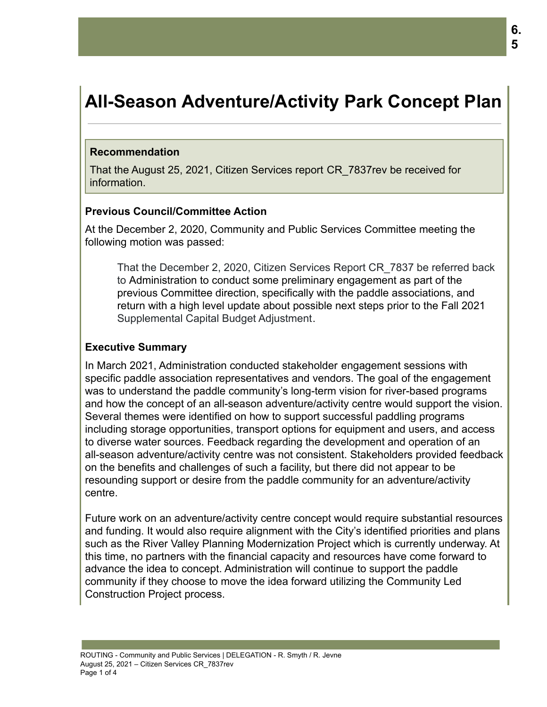# **All-Season Adventure/Activity Park Concept Plan**

#### **Recommendation**

That the August 25, 2021, Citizen Services report CR\_7837rev be received for information.

## **Previous Council/Committee Action**

At the December 2, 2020, Community and Public Services Committee meeting the following motion was passed:

That the December 2, 2020, Citizen Services Report CR\_7837 be referred back to Administration to conduct some preliminary engagement as part of the previous Committee direction, specifically with the paddle associations, and return with a high level update about possible next steps prior to the Fall 2021 Supplemental Capital Budget Adjustment.

#### **Executive Summary**

In March 2021, Administration conducted stakeholder engagement sessions with specific paddle association representatives and vendors. The goal of the engagement was to understand the paddle community's long-term vision for river-based programs and how the concept of an all-season adventure/activity centre would support the vision. Several themes were identified on how to support successful paddling programs including storage opportunities, transport options for equipment and users, and access to diverse water sources. Feedback regarding the development and operation of an all-season adventure/activity centre was not consistent. Stakeholders provided feedback on the benefits and challenges of such a facility, but there did not appear to be resounding support or desire from the paddle community for an adventure/activity centre.

Future work on an adventure/activity centre concept would require substantial resources and funding. It would also require alignment with the City's identified priorities and plans such as the River Valley Planning Modernization Project which is currently underway. At this time, no partners with the financial capacity and resources have come forward to advance the idea to concept. Administration will continue to support the paddle community if they choose to move the idea forward utilizing the Community Led Construction Project process.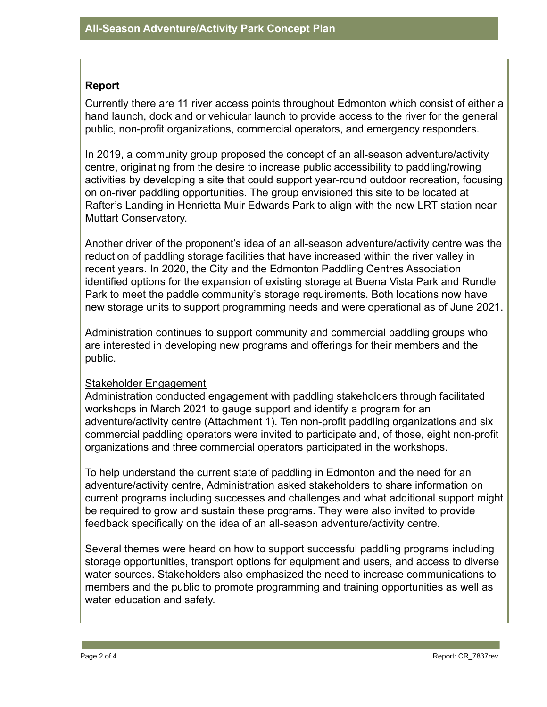## **Report**

Currently there are 11 river access points throughout Edmonton which consist of either a hand launch, dock and or vehicular launch to provide access to the river for the general public, non-profit organizations, commercial operators, and emergency responders.

In 2019, a community group proposed the concept of an all-season adventure/activity centre, originating from the desire to increase public accessibility to paddling/rowing activities by developing a site that could support year-round outdoor recreation, focusing on on-river paddling opportunities. The group envisioned this site to be located at Rafter's Landing in Henrietta Muir Edwards Park to align with the new LRT station near Muttart Conservatory.

Another driver of the proponent's idea of an all-season adventure/activity centre was the reduction of paddling storage facilities that have increased within the river valley in recent years. In 2020, the City and the Edmonton Paddling Centres Association identified options for the expansion of existing storage at Buena Vista Park and Rundle Park to meet the paddle community's storage requirements. Both locations now have new storage units to support programming needs and were operational as of June 2021.

Administration continues to support community and commercial paddling groups who are interested in developing new programs and offerings for their members and the public.

## Stakeholder Engagement

Administration conducted engagement with paddling stakeholders through facilitated workshops in March 2021 to gauge support and identify a program for an adventure/activity centre (Attachment 1). Ten non-profit paddling organizations and six commercial paddling operators were invited to participate and, of those, eight non-profit organizations and three commercial operators participated in the workshops.

To help understand the current state of paddling in Edmonton and the need for an adventure/activity centre, Administration asked stakeholders to share information on current programs including successes and challenges and what additional support might be required to grow and sustain these programs. They were also invited to provide feedback specifically on the idea of an all-season adventure/activity centre.

Several themes were heard on how to support successful paddling programs including storage opportunities, transport options for equipment and users, and access to diverse water sources. Stakeholders also emphasized the need to increase communications to members and the public to promote programming and training opportunities as well as water education and safety.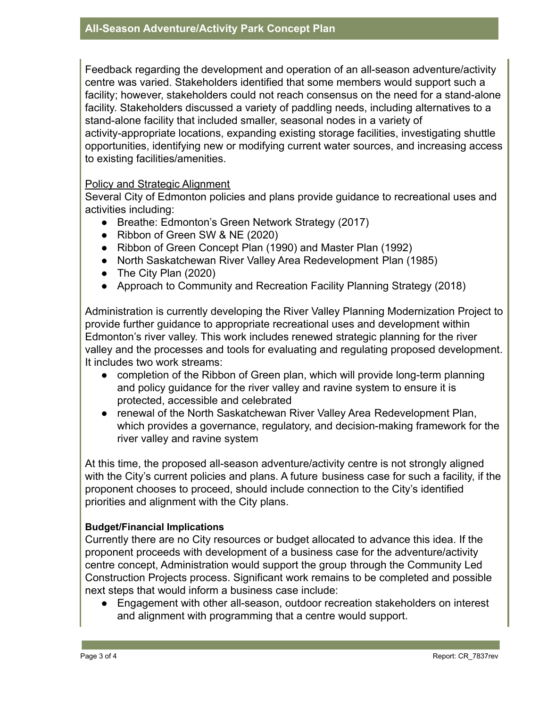Feedback regarding the development and operation of an all-season adventure/activity centre was varied. Stakeholders identified that some members would support such a facility; however, stakeholders could not reach consensus on the need for a stand-alone facility. Stakeholders discussed a variety of paddling needs, including alternatives to a stand-alone facility that included smaller, seasonal nodes in a variety of activity-appropriate locations, expanding existing storage facilities, investigating shuttle opportunities, identifying new or modifying current water sources, and increasing access to existing facilities/amenities.

#### Policy and Strategic Alignment

Several City of Edmonton policies and plans provide guidance to recreational uses and activities including:

- Breathe: Edmonton's Green Network Strategy (2017)
- Ribbon of Green SW & NE (2020)
- Ribbon of Green Concept Plan (1990) and Master Plan (1992)
- North Saskatchewan River Valley Area Redevelopment Plan (1985)
- The City Plan (2020)
- Approach to Community and Recreation Facility Planning Strategy (2018)

Administration is currently developing the River Valley Planning Modernization Project to provide further guidance to appropriate recreational uses and development within Edmonton's river valley. This work includes renewed strategic planning for the river valley and the processes and tools for evaluating and regulating proposed development. It includes two work streams:

- completion of the Ribbon of Green plan, which will provide long-term planning and policy guidance for the river valley and ravine system to ensure it is protected, accessible and celebrated
- renewal of the North Saskatchewan River Valley Area Redevelopment Plan, which provides a governance, regulatory, and decision-making framework for the river valley and ravine system

At this time, the proposed all-season adventure/activity centre is not strongly aligned with the City's current policies and plans. A future business case for such a facility, if the proponent chooses to proceed, should include connection to the City's identified priorities and alignment with the City plans.

## **Budget/Financial Implications**

Currently there are no City resources or budget allocated to advance this idea. If the proponent proceeds with development of a business case for the adventure/activity centre concept, Administration would support the group through the Community Led Construction Projects process. Significant work remains to be completed and possible next steps that would inform a business case include:

● Engagement with other all-season, outdoor recreation stakeholders on interest and alignment with programming that a centre would support.